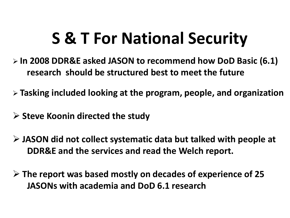## **S & T For National Security**

- **In 2008 DDR&E asked JASON to recommend how DoD Basic (6.1) research should be structured best to meet the future**
- **Tasking included looking at the program, people, and organization**
- **Steve Koonin directed the study**
- **JASON did not collect systematic data but talked with people at DDR&E and the services and read the Welch report.**
- **The report was based mostly on decades of experience of 25 JASONs with academia and DoD 6.1 research**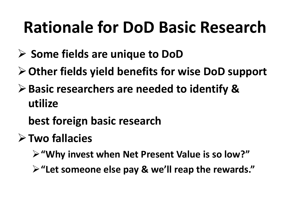# **Rationale for DoD Basic Research**

- **Some fields are unique to DoD**
- **Other fields yield benefits for wise DoD support**
- **Basic researchers are needed to identify & utilize**
	- **best foreign basic research**
- **Two fallacies**
	- **"Why invest when Net Present Value is so low?"**
	- **"Let someone else pay & we'll reap the rewards."**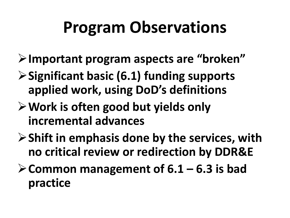# **Program Observations**

- **Important program aspects are "broken"**
- **Significant basic (6.1) funding supports applied work, using DoD's definitions**
- **Work is often good but yields only incremental advances**
- **Shift in emphasis done by the services, with no critical review or redirection by DDR&E**
- **Common management of 6.1 – 6.3 is bad practice**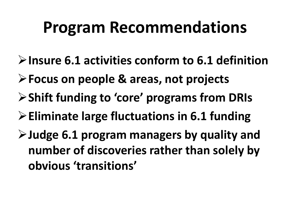#### **Program Recommendations**

- **Insure 6.1 activities conform to 6.1 definition**
- **Focus on people & areas, not projects**
- **Shift funding to 'core' programs from DRIs**
- **Eliminate large fluctuations in 6.1 funding**
- **Judge 6.1 program managers by quality and number of discoveries rather than solely by obvious 'transitions'**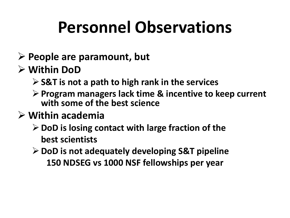# **Personnel Observations**

- **People are paramount, but**
- **Within DoD**
	- **S&T is not a path to high rank in the services**
	- **Program managers lack time & incentive to keep current with some of the best science**
- **Within academia**
	- **DoD is losing contact with large fraction of the best scientists**
	- **DoD is not adequately developing S&T pipeline 150 NDSEG vs 1000 NSF fellowships per year**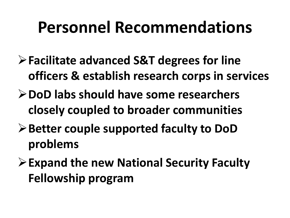#### **Personnel Recommendations**

- **Facilitate advanced S&T degrees for line officers & establish research corps in services**
- **DoD labs should have some researchers closely coupled to broader communities**
- **Better couple supported faculty to DoD problems**
- **Expand the new National Security Faculty Fellowship program**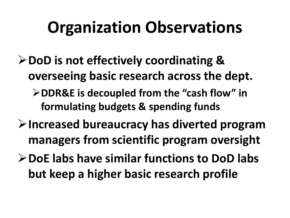# **Organization Observations**

- **DoD is not effectively coordinating & overseeing basic research across the dept. DDR&E is decoupled from the "cash flow" in** 
	- **formulating budgets & spending funds**
- **Increased bureaucracy has diverted program managers from scientific program oversight**
- **DoE labs have similar functions to DoD labs but keep a higher basic research profile**